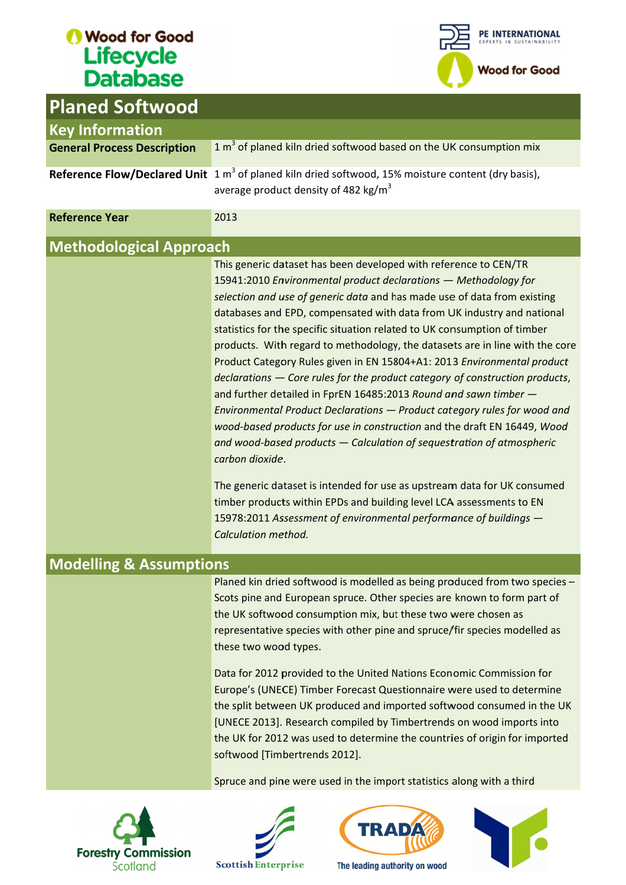

| <b>Planed Softwood</b>             |                                                                                                                                                                                                                                                                                                                                                                                                                                                                                                                                                                                                                                                                                                                                                                                                                                                                                                                                                                                                                                                                                                 |
|------------------------------------|-------------------------------------------------------------------------------------------------------------------------------------------------------------------------------------------------------------------------------------------------------------------------------------------------------------------------------------------------------------------------------------------------------------------------------------------------------------------------------------------------------------------------------------------------------------------------------------------------------------------------------------------------------------------------------------------------------------------------------------------------------------------------------------------------------------------------------------------------------------------------------------------------------------------------------------------------------------------------------------------------------------------------------------------------------------------------------------------------|
| <b>Key Information</b>             |                                                                                                                                                                                                                                                                                                                                                                                                                                                                                                                                                                                                                                                                                                                                                                                                                                                                                                                                                                                                                                                                                                 |
| <b>General Process Description</b> | 1 m <sup>3</sup> of planed kiln dried softwood based on the UK consumption mix                                                                                                                                                                                                                                                                                                                                                                                                                                                                                                                                                                                                                                                                                                                                                                                                                                                                                                                                                                                                                  |
|                                    | Reference Flow/Declared Unit $1 m3$ of planed kiln dried softwood, 15% moisture content (dry basis),<br>average product density of 482 kg/m <sup>3</sup>                                                                                                                                                                                                                                                                                                                                                                                                                                                                                                                                                                                                                                                                                                                                                                                                                                                                                                                                        |
| <b>Reference Year</b>              | 2013                                                                                                                                                                                                                                                                                                                                                                                                                                                                                                                                                                                                                                                                                                                                                                                                                                                                                                                                                                                                                                                                                            |
| <b>Methodological Approach</b>     |                                                                                                                                                                                                                                                                                                                                                                                                                                                                                                                                                                                                                                                                                                                                                                                                                                                                                                                                                                                                                                                                                                 |
|                                    | This generic dataset has been developed with reference to CEN/TR<br>15941:2010 Environmental product declarations - Methodology for<br>selection and use of generic data and has made use of data from existing<br>databases and EPD, compensated with data from UK industry and national<br>statistics for the specific situation related to UK consumption of timber<br>products. With regard to methodology, the datasets are in line with the core<br>Product Category Rules given in EN 15804+A1: 2013 Environmental product<br>declarations - Core rules for the product category of construction products,<br>and further detailed in FprEN 16485:2013 Round and sawn timber -<br>Environmental Product Declarations - Product category rules for wood and<br>wood-based products for use in construction and the draft EN 16449, Wood<br>and wood-based products $-$ Calculation of sequestration of atmospheric<br>carbon dioxide.<br>The generic dataset is intended for use as upstream data for UK consumed<br>timber products within EPDs and building level LCA assessments to EN |
|                                    | 15978:2011 Assessment of environmental performance of buildings -<br>Calculation method.                                                                                                                                                                                                                                                                                                                                                                                                                                                                                                                                                                                                                                                                                                                                                                                                                                                                                                                                                                                                        |
| <b>Modelling &amp; Assumptions</b> |                                                                                                                                                                                                                                                                                                                                                                                                                                                                                                                                                                                                                                                                                                                                                                                                                                                                                                                                                                                                                                                                                                 |
|                                    | Planed kin dried softwood is modelled as being produced from two species -<br>Scots pine and European spruce. Other species are known to form part of<br>the UK softwood consumption mix, but these two were chosen as<br>representative species with other pine and spruce/fir species modelled as<br>these two wood types.                                                                                                                                                                                                                                                                                                                                                                                                                                                                                                                                                                                                                                                                                                                                                                    |
|                                    | Data for 2012 provided to the United Nations Economic Commission for<br>Europe's (UNECE) Timber Forecast Questionnaire were used to determine<br>the split between UK produced and imported softwood consumed in the UK<br>[UNECE 2013]. Research compiled by Timbertrends on wood imports into<br>the UK for 2012 was used to determine the countries of origin for imported<br>softwood [Timbertrends 2012].<br>Spruce and pine were used in the import statistics along with a third                                                                                                                                                                                                                                                                                                                                                                                                                                                                                                                                                                                                         |







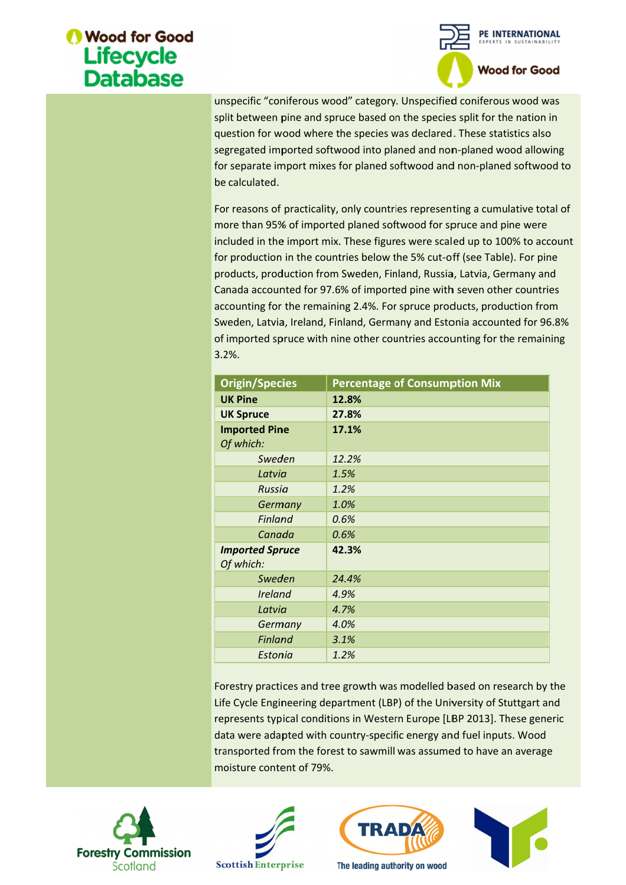

| be calculated.                      | unspecific "coniferous wood" category. Unspecified coniferous wood was<br>split between pine and spruce based on the species split for the nation in<br>question for wood where the species was declared. These statistics also<br>segregated imported softwood into planed and non-planed wood allowing<br>for separate import mixes for planed softwood and non-planed softwood to<br>For reasons of practicality, only countries representing a cumulative total of                                                                                                                                                   |  |
|-------------------------------------|--------------------------------------------------------------------------------------------------------------------------------------------------------------------------------------------------------------------------------------------------------------------------------------------------------------------------------------------------------------------------------------------------------------------------------------------------------------------------------------------------------------------------------------------------------------------------------------------------------------------------|--|
| $3.2%$ .                            | more than 95% of imported planed softwood for spruce and pine were<br>included in the import mix. These figures were scaled up to 100% to account<br>for production in the countries below the 5% cut-off (see Table). For pine<br>products, production from Sweden, Finland, Russia, Latvia, Germany and<br>Canada accounted for 97.6% of imported pine with seven other countries<br>accounting for the remaining 2.4%. For spruce products, production from<br>Sweden, Latvia, Ireland, Finland, Germany and Estonia accounted for 96.8%<br>of imported spruce with nine other countries accounting for the remaining |  |
| <b>Origin/Species</b>               | <b>Percentage of Consumption Mix</b>                                                                                                                                                                                                                                                                                                                                                                                                                                                                                                                                                                                     |  |
| <b>UK Pine</b>                      | 12.8%                                                                                                                                                                                                                                                                                                                                                                                                                                                                                                                                                                                                                    |  |
| <b>UK Spruce</b>                    | 27.8%                                                                                                                                                                                                                                                                                                                                                                                                                                                                                                                                                                                                                    |  |
| <b>Imported Pine</b><br>Of which:   | 17.1%                                                                                                                                                                                                                                                                                                                                                                                                                                                                                                                                                                                                                    |  |
| Sweden                              | 12.2%                                                                                                                                                                                                                                                                                                                                                                                                                                                                                                                                                                                                                    |  |
| Latvia                              | 1.5%                                                                                                                                                                                                                                                                                                                                                                                                                                                                                                                                                                                                                     |  |
| Russia                              | 1.2%                                                                                                                                                                                                                                                                                                                                                                                                                                                                                                                                                                                                                     |  |
| Germany                             | 1.0%                                                                                                                                                                                                                                                                                                                                                                                                                                                                                                                                                                                                                     |  |
| <b>Finland</b>                      | 0.6%                                                                                                                                                                                                                                                                                                                                                                                                                                                                                                                                                                                                                     |  |
| Canada                              | 0.6%                                                                                                                                                                                                                                                                                                                                                                                                                                                                                                                                                                                                                     |  |
| <b>Imported Spruce</b><br>Of which: | 42.3%                                                                                                                                                                                                                                                                                                                                                                                                                                                                                                                                                                                                                    |  |
| Sweden                              | 24.4%                                                                                                                                                                                                                                                                                                                                                                                                                                                                                                                                                                                                                    |  |
| <b>Ireland</b>                      | 4.9%                                                                                                                                                                                                                                                                                                                                                                                                                                                                                                                                                                                                                     |  |
| Latvia                              | 4.7%                                                                                                                                                                                                                                                                                                                                                                                                                                                                                                                                                                                                                     |  |
| Germany                             | 4.0%                                                                                                                                                                                                                                                                                                                                                                                                                                                                                                                                                                                                                     |  |
| <b>Finland</b>                      | 3.1%                                                                                                                                                                                                                                                                                                                                                                                                                                                                                                                                                                                                                     |  |
| Estonia                             | 1.2%                                                                                                                                                                                                                                                                                                                                                                                                                                                                                                                                                                                                                     |  |
|                                     | Forestry practices and tree growth was modelled based on research by the<br>Life Cycle Engineering department (LBP) of the University of Stuttgart and<br>represents typical conditions in Western Europe [LBP 2013]. These generic<br>data were adapted with country-specific energy and fuel inputs. Wood<br>transported from the forest to sawmill was assumed to have an average                                                                                                                                                                                                                                     |  |







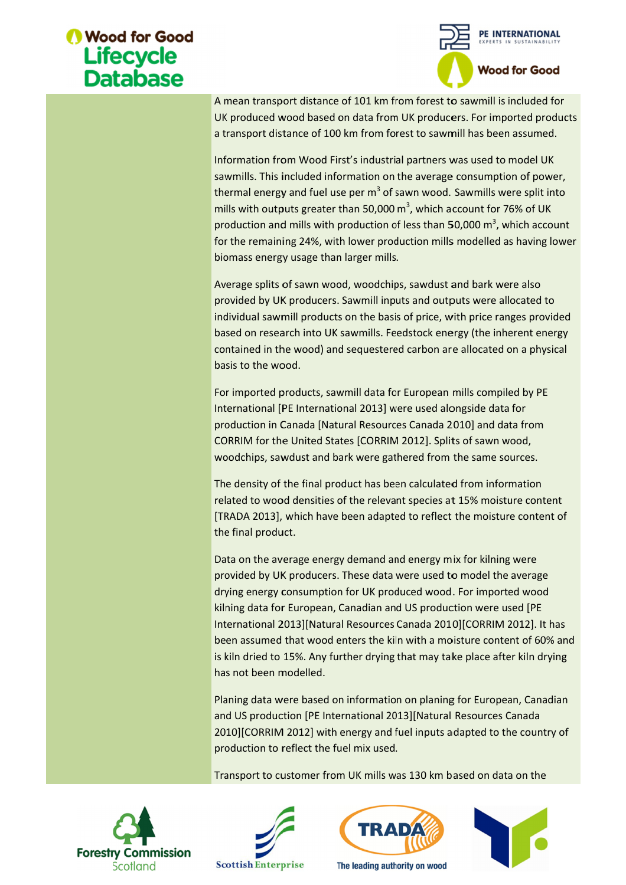

A mean transport distance of 101 km from forest to sawmill is included UK produced wood based on data from UK producers. For imported products a transport distance of 100 km from forest to sawmill has been assumed.

Information from Wood First's industrial partners was used to model UK sawmills. This included information thermal energy and fuel use per  $m^3$  of sawn wood. Sawmills were split into mills with outputs greater than 50,000  $m^3$ , which account for 76% of UK production and mills with production of less than 50,000  $m^3$ , which account for the remaining 24%, with lower production mills modelled as having lower biomass energy usage than larger mills. A mean transport distance of 101 km from forest to sawmill is UK produced wood based on data from UK producers. For imp a transport distance of 100 km from forest to sawmill has beer Information from Wood First's industri A mean transport distance of 101 km from forest to sawmill is included for UK produced wood based on data from UK producers. For imported products a transport distance of 100 km from forest to sawmill has been assumed.<br>In UK produced wood based on data from UK producers. For imported products<br>a transport distance of 100 km from forest to sawmill has been assumed.<br>Information from Wood First's industrial partners was used to model UK<br>sawmill

Average splits of sawn wood, woodchips, sawdust and bark were also provided by UK producers. Sawmill inputs and outputs were allocated to individual sawmill products on the basis of price, with price ranges provided based on research into UK sawmills. Feedstock energy (the inherent energy contained in the wood) and sequestered carbon are allocated on a physical basis to the wood. production and mills with production of less than 50,000 m<sup>3</sup>, which account<br>for the remaining 24%, with lower production mills modelled as having lowe<br>biomass energy usage than larger mills.<br>Average splits of sawn wood, w wood, woodchips, sawdust and bark were also<br>ers. Sawmill inputs and outputs were allocated to<br>ucts on the basis of price, with price ranges provided<br>UK sawmills. Feedstock energy (the inherent energy for the remaining 24%, with lower production mills modelled as having low<br>biomass energy usage than larger mills.<br>Average splits of sawn wood, woodchips, sawdust and bark were also<br>provided by UK producers. Sawmill inputs by UK producers. Sawmill inputs and outputs were allocated to<br>sawmill products on the basis of price, with price ranges provided<br>research into UK sawmills. Feedstock energy (the inherent energy<br>I in the wood) and sequester account for 76% of<br>50,000 m<sup>3</sup>, which a<br>Is modelled as hav<br>is modelled as hav<br>at and bark were allocate<br>with price ranges p<br>ergy (the inherent<br>re allocated on a p<br>imills compiled by<br>longside data for<br>2010] and data fro<br>lit

For import For imported products, sawmill data for European mills compiled by PE International [PE International 2013] were used alongside data for International [PE International 2013] were used alongside data for<br>production in Canada [Natural Resources Canada 2010] and data from CORRIM for the United States [CORRIM 2012]. Splits of sawn woo woodchips, sawdust and bark were gathered from the same sources. International [PE International 2013] were used alongside data for<br>production in Canada [Natural Resources Canada 2010] and data from<br>CORRIM for the United States [CORRIM 2012]. Splits of sawn wood,<br>woodchips, sawdust and For imported products, sawmill data for European mills compiled by PE<br>International [PE International 2013] were used alongside data for<br>production in Canada [Natural Resources Canada 2010] and data from<br>CORRIM for the Uni

The density of the final product has been calculated from information [TRADA 2013], which have been adapted to reflect the moisture content of the final product. [TRADA 2013], which have been adapted to reflect the moisture cont<br>the final product.<br>Data on the average energy demand and energy mix for kilning were

provided by UK producers. These data were used to model the average Data on the average energy demand and energy mix for kilning were<br>provided by UK producers. These data were used to model the average<br>drying energy consumption for UK produced wood. For imported wood<br>kilning data for Europ kilning data for European, Canadian and US production were used [PE International 2013][Natural Resources Canada 2010][CORRIM 2012]. It has International 2013][Natural Resources Canada 2010][CORRIM 2012]. It has<br>been assumed that wood enters the kiln with a moisture content of 60% and Data on the average energy demand and energy mix for kilning were<br>provided by UK producers. These data were used to model the average<br>drying energy consumption for UK produced wood. For imported wood<br>kilning data for Europ has not been modelled. been assumed that wood enters the kiln with a moisture content of 60% and<br>is kiln dried to 15%. Any further drying that may take place after kiln drying<br>has not been modelled.<br>Planing data were based on information on plan sawmills. This included information on the average consumption of power, the mills with outputs greater than 50,000 m<sup>3</sup>, which account for 76% of UK comis mills with outputs greater than 50,000 m<sup>3</sup>, which account for 76% port distance of 101 km from forest to sawmill is included<br>woot based on data from UK producers. For imported pre<br>istance of 100 km from of rest to sawmill has been assume<br>from Wood First's industrial partners was used to mean transport distance of 101 km from forest to sawmill is included to the UK mean transport distance of 100 km from forest to sawmill has been assumed formation from Wood First's industrial partners was used to model UK transport distance of 101 km from forest to sawmill is included for<br>transport distance of 100 km from forest to sawmill is included for<br>ordistance of 100 km from forest to sawmill has been assumed.<br>tion from Wood First's i

Planing data were based on information on planing for European, Canadian and US production [PE International 2013][Natural Resources Canada 2010][CORRIM 2012] with energy and fuel inputs adapted to the co untry production to reflect the fuel mix used. is kiln dried to 15%. Any further drying that may take place after kill<br>has not been modelled.<br>Planing data were based on information on planing for European, C<br>and US production [PE International 2013][Natural Resources C Planing data were based on information on planing for European, Can<br>and US production [PE International 2013][Natural Resources Canada kiln drying<br>, Canadian<br>nada<br>country of

Transport to customer from UK mills was 130 km based on data on the







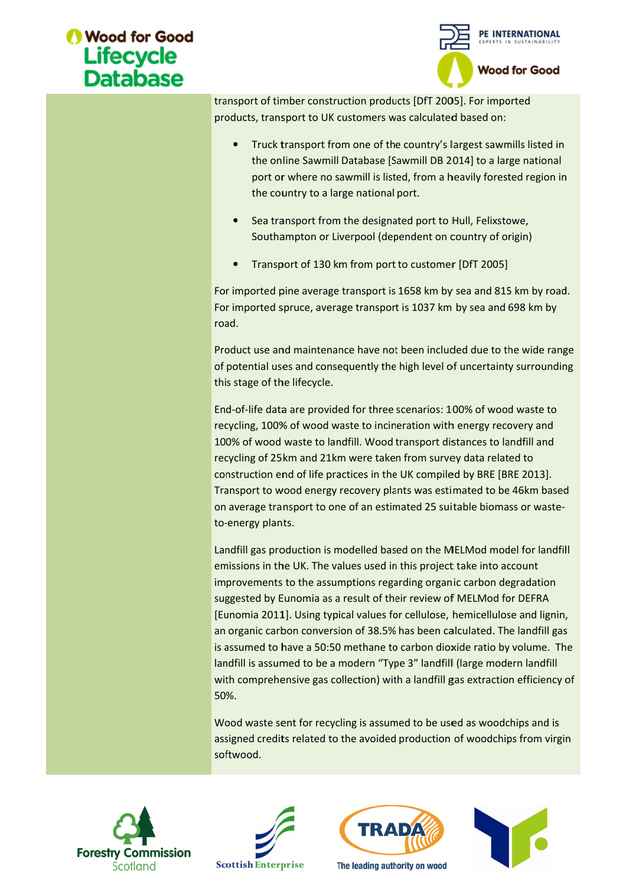

transport of timber construction products [DfT 2005]. For imported products, transport to UK customers was calculated based on: products,

- Truck transport from one of the country's largest sawmills listed in the online Sawmill Database [Sawmill DB 2014] to a large national the online Sawmill Database [Sawmill DB 2014] to a large national<br>port or where no sawmill is listed, from a heavily forested region in the country to a large national port. t from one of the country's largest sawmills I<br>mill Database [Sawmill DB 2014] to a large na<br>no sawmill is listed, from a heavily forested r<br>a large national port.<br>rom the designated port to Hull, Felixstowe,
- Sea transport from the designated port to Hull, Felixstowe, Sea transport from the designated port to Hull, Felixstowe,<br>Southampton or Liverpool (dependent on country of origin)
- Transport of 130 km from port to customer [DfT 2005]

For imported pine average transport is 1658 km by sea and 815 km by road. • Transport of 130 km from port to customer [DfT 2005]<br>For imported pine average transport is 1658 km by sea and 815 km by roa<br>For imported spruce, average transport is 1037 km by sea and 698 km by road. orted pine average transport is 1658 km by sea and 815 km by road.<br>
orted spruce, average transport is 1037 km by sea and 698 km by<br>
use and maintenance have not been included due to the wide range<br>
tial uses and consequen

Product use and maintenance have not been included due to the wide range of potential uses and consequently the high level of uncertainty surrounding<br>this stage of the lifecycle.<br>End-of-life data are provided for three scenarios: 100% of wood waste to this stage of the lifecycle. For imported spruce, average transport is 1037 km by sea and 698 km by<br>road.<br>Product use and maintenance have not been included due to the wide range<br>of potential uses and consequently the high level of uncertainty surroun

End-of-life data are provided for three scenarios: 100% of wood waste to this stage of the lifecycle.<br>End-of-life data are provided for three scenarios: 100% of wood waste to<br>recycling, 100% of wood waste to incineration with energy recovery and 100% of wood waste to landfill. Wood transport distances to landfill and<br>recycling of 25km and 21km were taken from survey data related to recycling of 25km and 21km were taken from survey data related to construction end of life practices in the UK compiled by BRE [BRE 2013]. recycling, 100% of wood waste to incineration with energy recovery and<br>100% of wood waste to landfill. Wood transport distances to landfill and<br>recycling of 25km and 21km were taken from survey data related to<br>construction on average transport to one of an estimated 25 suitable biomass or wasteto--energy plants. construction end of life practices in the UK compiled by BRE [BRE 2013].<br>Transport to wood energy recovery plants was estimated to be 46km based<br>on average transport to one of an estimated 25 suitable biomass or waste-<br>torecycling, 100% of wood waste to incineration with energy recovery and<br>100% of wood waste to landfill. Wood transport distances to landfill and<br>recycling of 25km and 21km were taken from survey data related to<br>construction transport of timber construction products [DfT 2005]. For imported<br>
orducts, transport to UK customers was calculated based on:<br>
• Truck transport from one of the country's largest sawmills listed in<br>
the online Sawmill Da

Landfill gas production is modelled based on the MELMod model for landfill emissions in the UK. The values used in this project take into account improvements to the assumptions regarding organic carbon degradation suggested by Eunomia as a result of their review of MELMod for DEFRA emissions in the UK. The values used in this project take into account<br>improvements to the assumptions regarding organic carbon degradation<br>suggested by Eunomia as a result of their review of MELMod for DEFRA<br>[Eunomia 2011 an organic carbon conversion of 38.5% has been calculated. The landfill gas is assumed to have a 50:50 methane to carbon dioxide ratio by volume. The<br>landfill is assumed to be a modern "Type 3" landfill (large modern landfill landfill is assumed to be a modern "Type 3" landfill (large modern landfill with comprehensive gas collection) with a landfill gas extraction efficiency of 50%. Landfill gas production is modelled based on the MELMod model for landfill<br>emissions in the UK. The values used in this project take into account<br>improvements to the assumptions regarding organic carbon degradation<br>suggest transport of timeler construction products (DfT 2005). For imported products, transport to UK customers was calculated based on:<br>
• Truck transport from one of the country's largest sawmills listed in<br>
the online Sawmill D Truck transport from one of the country's largest sawmills listed<br>the online Sawmill is lakades [Sawmill 10 a 2014] to a large national<br>port or where no sawmill is listed, from a heavily forested region<br>the country to a la transport to UK customers was calculated based on:<br>
uck transport from one of the country's largest sawmills lis<br>
e online Sawmill Database [Sawmill 108 2014] to a large nat<br>
or o two twere no sawmill is listed, from a hea suggested by Eunomia as a result of their review of MELMod for DEFRA<br>[Eunomia 2011]. Using typical values for cellulose, hemicellulose and lignin,<br>an organic carbon conversion of 38.5% has been calculated. The landfill gas landfill is assumed to be a modern "Type 3" landfill (large modern landfill<br>with comprehensive gas collection) with a landfill gas extraction efficiency of<br>50%.<br>Wood waste sent for recycling is assumed to be used as woodch for cellulose, hemicellulose and lignicarbon conversion of 38.5% has been calculated. The landfill gate to have a 50:50 methane to carbon dioxide ratio by volume. This sumed to be a modern "Type 3" landfill (large modern l

Wood waste sent for recycling is assumed to be used as woodchips and is with comprehensive gas collection) with a landfill gas extraction efficiency of<br>50%.<br>Wood waste sent for recycling is assumed to be used as woodchips and is<br>assigned credits related to the avoided production of woodchips f softwood.









The leading authority on wood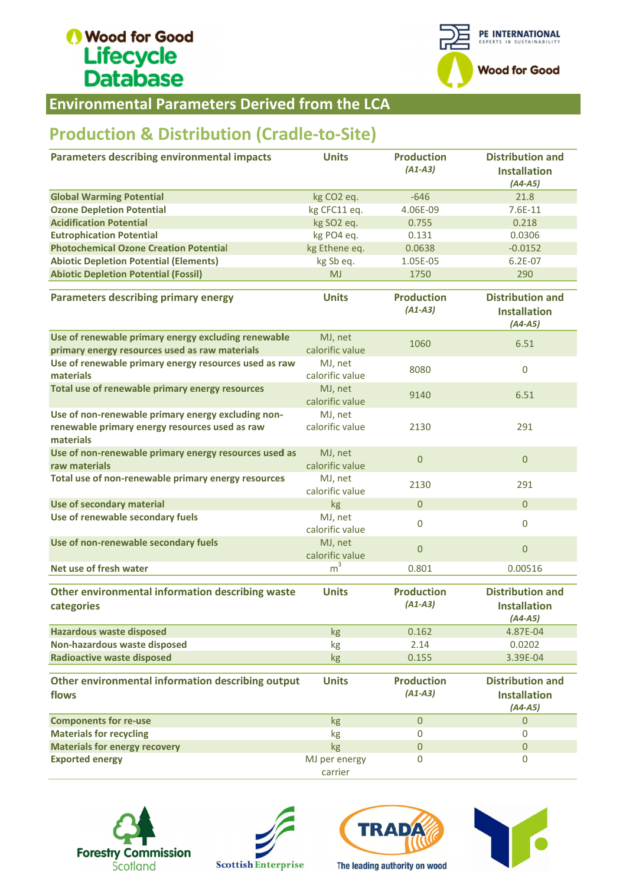

**Environmental Parameters Derived from the LCA** 

## Production & Distribution (Cradle-to-Site)

| <b>Environmental Parameters Derived from the LCA</b>                                                              |                            |                                |                                                             |  |  |  |  |
|-------------------------------------------------------------------------------------------------------------------|----------------------------|--------------------------------|-------------------------------------------------------------|--|--|--|--|
| <b>Production &amp; Distribution (Cradle-to-Site)</b>                                                             |                            |                                |                                                             |  |  |  |  |
| <b>Parameters describing environmental impacts</b>                                                                | <b>Units</b>               | <b>Production</b><br>$(A1-A3)$ | <b>Distribution and</b><br><b>Installation</b><br>$(A4-A5)$ |  |  |  |  |
| <b>Global Warming Potential</b>                                                                                   | kg CO <sub>2</sub> eq.     | $-646$                         | 21.8                                                        |  |  |  |  |
| <b>Ozone Depletion Potential</b>                                                                                  | kg CFC11 eq.               | 4.06E-09                       | $7.6E-11$                                                   |  |  |  |  |
| <b>Acidification Potential</b>                                                                                    | kg SO2 eq.                 | 0.755                          | 0.218                                                       |  |  |  |  |
| <b>Eutrophication Potential</b>                                                                                   | kg PO4 eq.                 | 0.131                          | 0.0306                                                      |  |  |  |  |
| <b>Photochemical Ozone Creation Potential</b>                                                                     | kg Ethene eq.              | 0.0638                         | $-0.0152$                                                   |  |  |  |  |
| <b>Abiotic Depletion Potential (Elements)</b>                                                                     | kg Sb eq.                  | 1.05E-05                       | $6.2E - 07$                                                 |  |  |  |  |
| <b>Abiotic Depletion Potential (Fossil)</b>                                                                       | <b>MJ</b>                  | 1750                           | 290                                                         |  |  |  |  |
| <b>Parameters describing primary energy</b>                                                                       | <b>Units</b>               | <b>Production</b><br>$(A1-A3)$ | <b>Distribution and</b><br><b>Installation</b><br>$(A4-A5)$ |  |  |  |  |
| Use of renewable primary energy excluding renewable<br>primary energy resources used as raw materials             | MJ, net<br>calorific value | 1060                           | 6.51                                                        |  |  |  |  |
| Use of renewable primary energy resources used as raw<br>materials                                                | MJ, net<br>calorific value | 8080                           | $\mathbf 0$                                                 |  |  |  |  |
| Total use of renewable primary energy resources                                                                   | MJ, net<br>calorific value | 9140                           | 6.51                                                        |  |  |  |  |
| Use of non-renewable primary energy excluding non-<br>renewable primary energy resources used as raw<br>materials | MJ, net<br>calorific value | 2130                           | 291                                                         |  |  |  |  |
| Use of non-renewable primary energy resources used as<br>raw materials                                            | MJ, net<br>calorific value | $\mathbf{0}$                   | $\mathbf{0}$                                                |  |  |  |  |
| Total use of non-renewable primary energy resources                                                               | MJ, net<br>calorific value | 2130                           | 291                                                         |  |  |  |  |
| Use of secondary material                                                                                         | kg                         | $\mathbf{0}$                   | $\overline{0}$                                              |  |  |  |  |
| Use of renewable secondary fuels                                                                                  | MJ, net<br>calorific value | $\bf{0}$                       | $\mathbf 0$                                                 |  |  |  |  |
| Use of non-renewable secondary fuels                                                                              | MJ, net<br>calorific value | $\mathbf 0$                    | $\overline{0}$                                              |  |  |  |  |
| Net use of fresh water                                                                                            | m <sup>3</sup>             | 0.801                          | 0.00516                                                     |  |  |  |  |
| Other environmental information describing waste<br>categories                                                    | <b>Units</b>               | <b>Production</b><br>$(A1-A3)$ | <b>Distribution and</b><br><b>Installation</b><br>$(A4-A5)$ |  |  |  |  |
| <b>Hazardous waste disposed</b>                                                                                   | kg                         | 0.162                          | 4.87E-04                                                    |  |  |  |  |
| Non-hazardous waste disposed                                                                                      | kg                         | 2.14                           | 0.0202                                                      |  |  |  |  |
| <b>Radioactive waste disposed</b>                                                                                 | kg                         | 0.155                          | 3.39E-04                                                    |  |  |  |  |
| Other environmental information describing output<br>flows                                                        | <b>Units</b>               | <b>Production</b><br>$(A1-A3)$ | <b>Distribution and</b><br><b>Installation</b><br>$(A4-A5)$ |  |  |  |  |
| <b>Components for re-use</b>                                                                                      | kg                         | $\mathbf{0}$                   | $\mathbf{0}$                                                |  |  |  |  |
| <b>Materials for recycling</b>                                                                                    | kg                         | $\mathbf 0$                    | 0                                                           |  |  |  |  |
| <b>Materials for energy recovery</b>                                                                              | kg                         | $\boldsymbol{0}$               | $\mathbf{0}$                                                |  |  |  |  |
| <b>Exported energy</b>                                                                                            | MJ per energy<br>carrier   | $\mathbf 0$                    | 0                                                           |  |  |  |  |







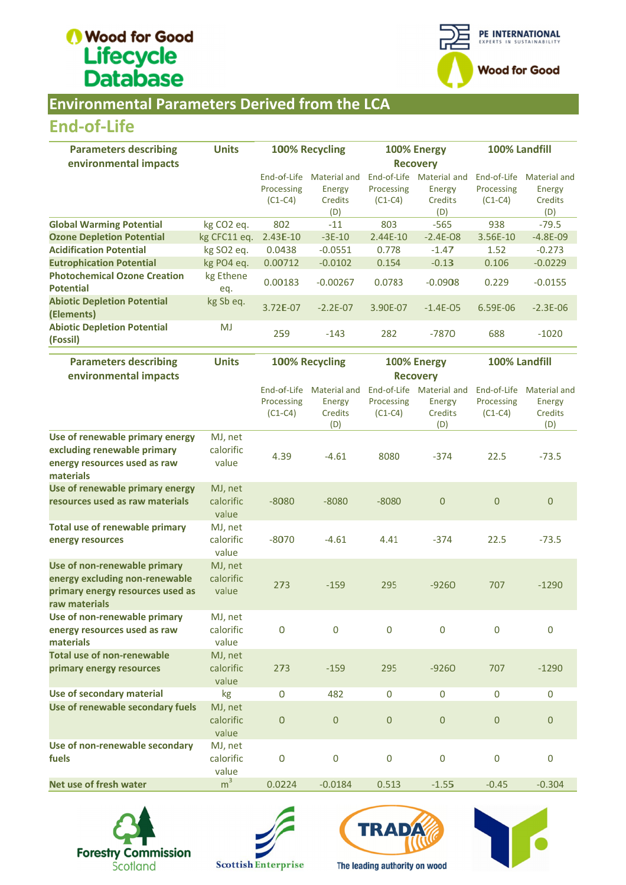

#### **Environmental Parameters Derived from the LCA**

### End End-of-Life

| 100% Recycling<br><b>Parameters describing</b><br><b>Units</b>                                                 | 100% Energy     | 100% Landfill               |  |
|----------------------------------------------------------------------------------------------------------------|-----------------|-----------------------------|--|
| environmental impacts                                                                                          | <b>Recovery</b> |                             |  |
| End-of-Life<br>End-of-Life<br>Material and                                                                     | Material and    | End-of-Life<br>Material and |  |
| Processing<br>Processing<br>Energy                                                                             | Energy          | Processing<br>Energy        |  |
| $(C1-C4)$<br>$(C1-C4)$<br>Credits                                                                              | Credits         | $(C1-C4)$<br>Credits        |  |
| (D)                                                                                                            | (D)             | (D)                         |  |
| <b>Global Warming Potential</b><br>802<br>803<br>kg CO <sub>2</sub> eq.<br>$-11$                               | $-565$          | 938<br>$-79.5$              |  |
| <b>Ozone Depletion Potential</b><br>$2.43E-10$<br>kg CFC11 eq.<br>$-3E-10$<br>$2.44E-10$                       | $-2.4E - 08$    | 3.56E-10<br>$-4.8E-09$      |  |
| <b>Acidification Potential</b><br>kg SO <sub>2</sub> eg.<br>0.0438<br>$-0.0551$<br>0.778                       | $-1.47$         | 1.52<br>$-0.273$            |  |
| <b>Eutrophication Potential</b><br>0.00712<br>$-0.0102$<br>0.154<br>kg PO4 eq.                                 | $-0.13$         | 0.106<br>$-0.0229$          |  |
| <b>Photochemical Ozone Creation</b><br>kg Ethene<br>0.00183<br>$-0.00267$<br>0.0783<br><b>Potential</b><br>eq. | $-0.0908$       | 0.229<br>$-0.0155$          |  |
| <b>Abiotic Depletion Potential</b><br>kg Sb eq.<br>3.72E-07<br>$-2.2E-07$<br>3.90E-07<br>(Elements)            | $-1.4E - 05$    | $6.59E-06$<br>$-2.3E - 06$  |  |
| <b>Abiotic Depletion Potential</b><br><b>MJ</b><br>259<br>282<br>$-143$<br>(Fossil)                            | $-7870$         | 688<br>$-1020$              |  |

| <b>End-of-Life</b>                                                                                                  |                               |                                        |                                                 |                                |                                                      |                                        |                                                        |  |
|---------------------------------------------------------------------------------------------------------------------|-------------------------------|----------------------------------------|-------------------------------------------------|--------------------------------|------------------------------------------------------|----------------------------------------|--------------------------------------------------------|--|
| <b>Parameters describing</b><br>environmental impacts                                                               | <b>Units</b>                  | 100% Recycling                         |                                                 | 100% Energy<br><b>Recovery</b> |                                                      | 100% Landfill                          |                                                        |  |
|                                                                                                                     |                               | End-of-Life<br>Processing<br>$(C1-C4)$ | <b>Material and</b><br>Energy<br>Credits<br>(D) | Processing<br>$(C1-C4)$        | End-of-Life Material and<br>Energy<br>Credits<br>(D) | End-of-Life<br>Processing<br>$(C1-C4)$ | <b>Material and</b><br>Energy<br>Credits<br>(D)        |  |
| <b>Global Warming Potential</b>                                                                                     | kg CO <sub>2</sub> eq.        | 802                                    | $-11$                                           | 803                            | $-565$                                               | 938                                    | $-79.5$                                                |  |
| <b>Ozone Depletion Potential</b>                                                                                    | kg CFC11 eq.                  | 2.43E-10                               | $-3E-10$                                        | 2.44E-10                       | $-2.4E-08$                                           | 3.56E-10                               | $-4.8E-09$                                             |  |
| <b>Acidification Potential</b>                                                                                      | kg SO2 eq.                    | 0.0438                                 | $-0.0551$                                       | 0.778                          | $-1.47$                                              | 1.52                                   | $-0.273$                                               |  |
| <b>Eutrophication Potential</b>                                                                                     | kg PO4 eq.                    | 0.00712                                | $-0.0102$                                       | 0.154                          | $-0.13$                                              | 0.106                                  | $-0.0229$                                              |  |
| <b>Photochemical Ozone Creation</b><br><b>Potential</b>                                                             | kg Ethene<br>eq.              | 0.00183                                | $-0.00267$                                      | 0.0783                         | $-0.0908$                                            | 0.229                                  | $-0.0155$                                              |  |
| <b>Abiotic Depletion Potential</b><br>(Elements)                                                                    | kg Sb eq.                     | 3.72E-07                               | $-2.2E-07$                                      | 3.90E-07                       | $-1.4E-05$                                           | 6.59E-06                               | $-2.3E-06$                                             |  |
| <b>Abiotic Depletion Potential</b><br>(Fossil)                                                                      | <b>MJ</b>                     | 259                                    | $-143$                                          | 282                            | $-7870$                                              | 688                                    | $-1020$                                                |  |
| <b>Parameters describing</b><br>environmental impacts                                                               | <b>Units</b>                  |                                        | <b>100% Recycling</b>                           |                                | 100% Energy<br><b>Recovery</b>                       |                                        | 100% Landfill                                          |  |
|                                                                                                                     |                               | End-of-Life<br>Processing<br>$(C1-C4)$ | <b>Material and</b><br>Energy<br>Credits<br>(D) | Processing<br>$(C1-C4)$        | End-of-Life Material and<br>Energy<br>Credits<br>(D) | End-of-Life<br>Processing<br>$(C1-C4)$ | <b>Material and</b><br><b>Energy</b><br>Credits<br>(D) |  |
| Use of renewable primary energy<br>excluding renewable primary<br>energy resources used as raw<br>materials         | MJ, net<br>calorific<br>value | 4.39                                   | $-4.61$                                         | 8080                           | $-374$                                               | 22.5                                   | $-73.5$                                                |  |
| Use of renewable primary energy<br>resources used as raw materials                                                  | MJ, net<br>calorific<br>value | $-8080$                                | $-8080$                                         | $-8080$                        | $\overline{0}$                                       | $\mathbf 0$                            | $\mathbf{0}$                                           |  |
| <b>Total use of renewable primary</b><br>energy resources                                                           | MJ, net<br>calorific<br>value | $-8070$                                | $-4.61$                                         | 4.41                           | $-374$                                               | 22.5                                   | $-73.5$                                                |  |
| Use of non-renewable primary<br>energy excluding non-renewable<br>primary energy resources used as<br>raw materials | MJ, net<br>calorific<br>value | 273                                    | $-159$                                          | 295                            | $-9260$                                              | 707                                    | $-1290$                                                |  |
| Use of non-renewable primary<br>energy resources used as raw<br>materials                                           | MJ, net<br>calorific<br>value | 0                                      | $\mathbf 0$                                     | $\mathbf 0$                    | $\mathbf 0$                                          | $\mathbf 0$                            | $\mathbf 0$                                            |  |
| <b>Total use of non-renewable</b><br>primary energy resources                                                       | MJ, net<br>calorific<br>value | 273                                    | $-159$                                          | 295                            | $-9260$                                              | 707                                    | $-1290$                                                |  |
| Use of secondary material                                                                                           | kg                            | 0                                      | 482                                             | 0                              | $\mathbf 0$                                          | $\boldsymbol{0}$                       | 0                                                      |  |
| Use of renewable secondary fuels                                                                                    | MJ, net<br>calorific<br>value | 0                                      | $\boldsymbol{0}$                                | $\boldsymbol{0}$               | $\mathbf{0}$                                         | $\mathbf{0}$                           | $\mathbf{0}$                                           |  |
| Use of non-renewable secondary<br>fuels                                                                             | MJ, net<br>calorific<br>value | 0                                      | $\mathbf 0$                                     | 0                              | 0                                                    | $\bf{0}$                               | $\bf{0}$                                               |  |
| Net use of fresh water                                                                                              | m <sup>3</sup>                | 0.0224                                 | $-0.0184$                                       | 0.513                          | $-1.55$                                              | $-0.45$                                | $-0.304$                                               |  |